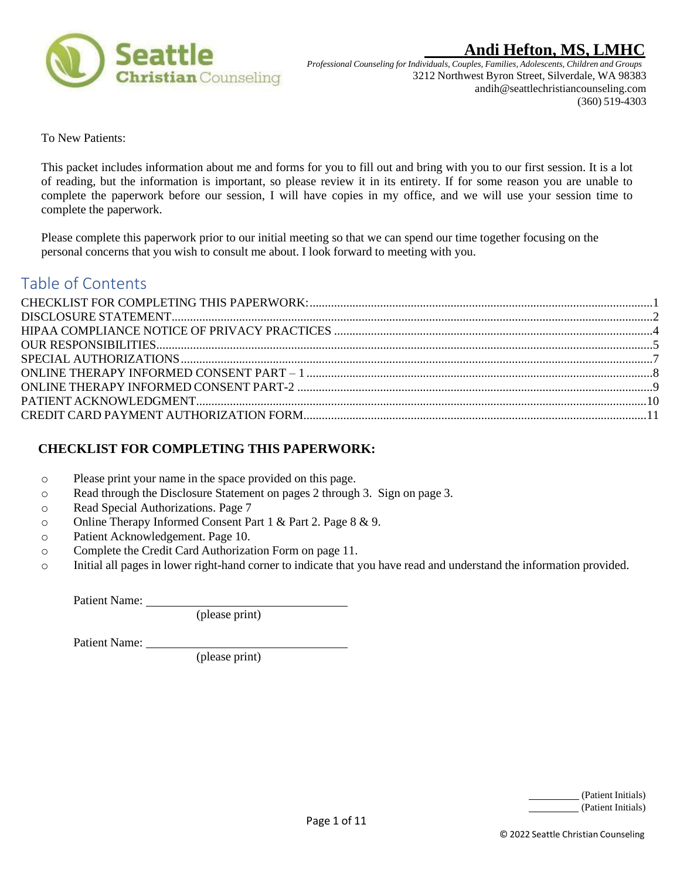

*Professional Counseling forIndividuals, Couples, Families, Adolescents, Children and Groups* 3212 Northwest Byron Street, Silverdale, WA 98383 andih@seattlechristiancounseling.com (360) 519-4303

To New Patients:

This packet includes information about me and forms for you to fill out and bring with you to our first session. It is a lot of reading, but the information is important, so please review it in its entirety. If for some reason you are unable to complete the paperwork before our session, I will have copies in my office, and we will use your session time to complete the paperwork.

Please complete this paperwork prior to our initial meeting so that we can spend our time together focusing on the personal concerns that you wish to consult me about. I look forward to meeting with you.

## Table of Contents

### <span id="page-0-0"></span> **CHECKLIST FOR COMPLETING THIS PAPERWORK:**

- o Please print your name in the space provided on this page.
- o Read through the Disclosure Statement on pages 2 through 3. Sign on page 3.
- o Read Special Authorizations. Page 7
- o Online Therapy Informed Consent Part 1 & Part 2. Page 8 & 9.
- o Patient Acknowledgement. Page 10.
- o Complete the Credit Card Authorization Form on page 11.
- o Initial all pages in lower right-hand corner to indicate that you have read and understand the information provided.

Patient Name:

(please print)

Patient Name:

(please print)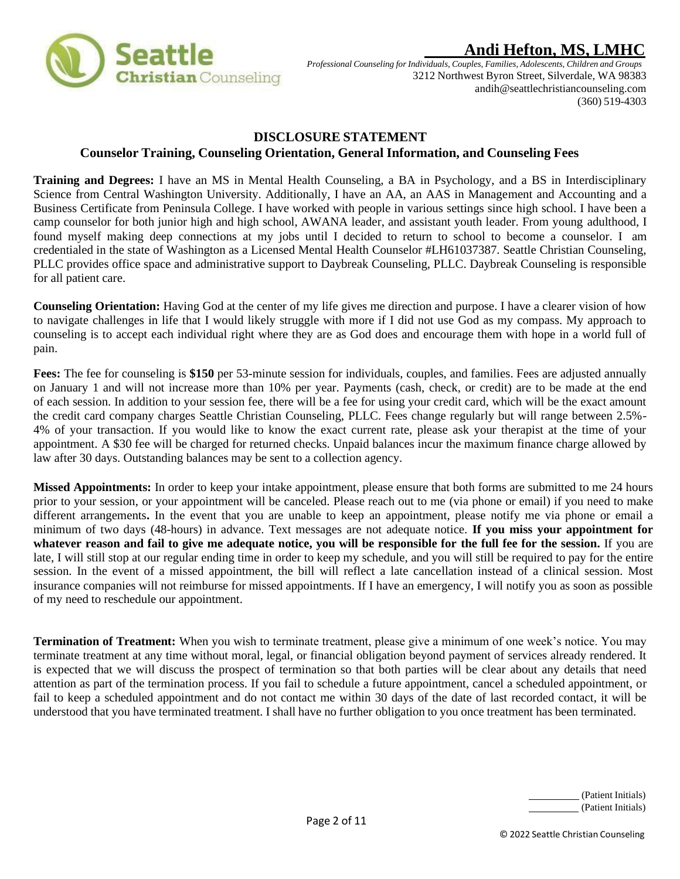

*Professional Counseling forIndividuals, Couples, Families, Adolescents, Children and Groups* 3212 Northwest Byron Street, Silverdale, WA 98383 andih@seattlechristiancounseling.com (360) 519-4303

### **DISCLOSURE STATEMENT**

### **Counselor Training, Counseling Orientation, General Information, and Counseling Fees**

<span id="page-1-0"></span>**Training and Degrees:** I have an MS in Mental Health Counseling, a BA in Psychology, and a BS in Interdisciplinary Science from Central Washington University. Additionally, I have an AA, an AAS in Management and Accounting and a Business Certificate from Peninsula College. I have worked with people in various settings since high school. I have been a camp counselor for both junior high and high school, AWANA leader, and assistant youth leader. From young adulthood, I found myself making deep connections at my jobs until I decided to return to school to become a counselor. I am credentialed in the state of Washington as a Licensed Mental Health Counselor #LH61037387. Seattle Christian Counseling, PLLC provides office space and administrative support to Daybreak Counseling, PLLC. Daybreak Counseling is responsible for all patient care.

**Counseling Orientation:** Having God at the center of my life gives me direction and purpose. I have a clearer vision of how to navigate challenges in life that I would likely struggle with more if I did not use God as my compass. My approach to counseling is to accept each individual right where they are as God does and encourage them with hope in a world full of pain.

**Fees:** The fee for counseling is **\$150** per 53-minute session for individuals, couples, and families. Fees are adjusted annually on January 1 and will not increase more than 10% per year. Payments (cash, check, or credit) are to be made at the end of each session. In addition to your session fee, there will be a fee for using your credit card, which will be the exact amount the credit card company charges Seattle Christian Counseling, PLLC. Fees change regularly but will range between 2.5%- 4% of your transaction. If you would like to know the exact current rate, please ask your therapist at the time of your appointment. A \$30 fee will be charged for returned checks. Unpaid balances incur the maximum finance charge allowed by law after 30 days. Outstanding balances may be sent to a collection agency.

**Missed Appointments:** In order to keep your intake appointment, please ensure that both forms are submitted to me 24 hours prior to your session, or your appointment will be canceled. Please reach out to me (via phone or email) if you need to make different arrangements**.** In the event that you are unable to keep an appointment, please notify me via phone or email a minimum of two days (48-hours) in advance. Text messages are not adequate notice. **If you miss your appointment for whatever reason and fail to give me adequate notice, you will be responsible for the full fee for the session.** If you are late, I will still stop at our regular ending time in order to keep my schedule, and you will still be required to pay for the entire session. In the event of a missed appointment, the bill will reflect a late cancellation instead of a clinical session. Most insurance companies will not reimburse for missed appointments. If I have an emergency, I will notify you as soon as possible of my need to reschedule our appointment.

**Termination of Treatment:** When you wish to terminate treatment, please give a minimum of one week's notice. You may terminate treatment at any time without moral, legal, or financial obligation beyond payment of services already rendered. It is expected that we will discuss the prospect of termination so that both parties will be clear about any details that need attention as part of the termination process. If you fail to schedule a future appointment, cancel a scheduled appointment, or fail to keep a scheduled appointment and do not contact me within 30 days of the date of last recorded contact, it will be understood that you have terminated treatment. I shall have no further obligation to you once treatment has been terminated.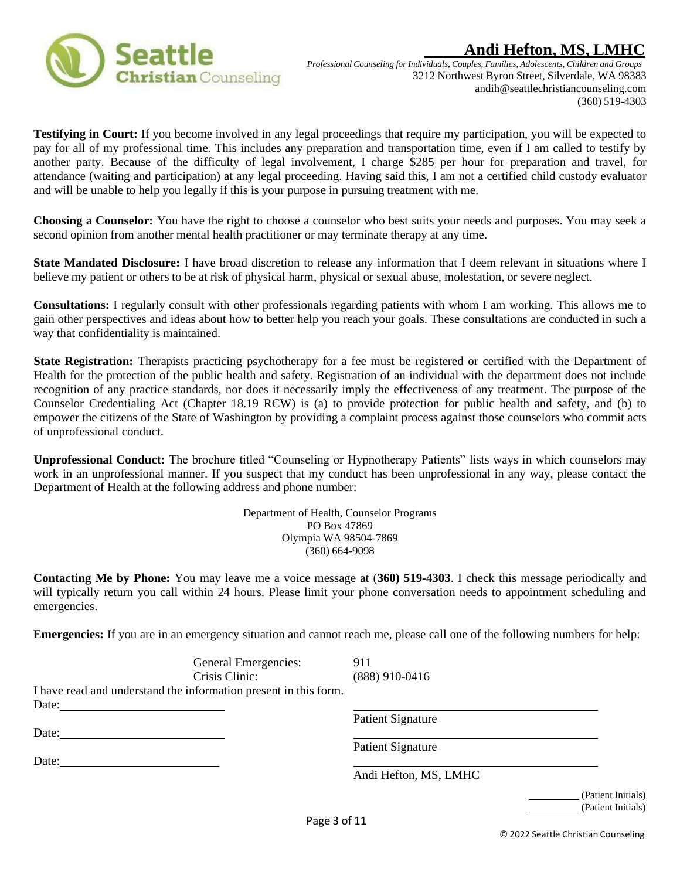



*Professional Counseling forIndividuals, Couples, Families, Adolescents, Children and Groups* 3212 Northwest Byron Street, Silverdale, WA 98383 andih@seattlechristiancounseling.com (360) 519-4303

**Testifying in Court:** If you become involved in any legal proceedings that require my participation, you will be expected to pay for all of my professional time. This includes any preparation and transportation time, even if I am called to testify by another party. Because of the difficulty of legal involvement, I charge \$285 per hour for preparation and travel, for attendance (waiting and participation) at any legal proceeding. Having said this, I am not a certified child custody evaluator and will be unable to help you legally if this is your purpose in pursuing treatment with me.

**Choosing a Counselor:** You have the right to choose a counselor who best suits your needs and purposes. You may seek a second opinion from another mental health practitioner or may terminate therapy at any time.

**State Mandated Disclosure:** I have broad discretion to release any information that I deem relevant in situations where I believe my patient or others to be at risk of physical harm, physical or sexual abuse, molestation, or severe neglect.

**Consultations:** I regularly consult with other professionals regarding patients with whom I am working. This allows me to gain other perspectives and ideas about how to better help you reach your goals. These consultations are conducted in such a way that confidentiality is maintained.

State Registration: Therapists practicing psychotherapy for a fee must be registered or certified with the Department of Health for the protection of the public health and safety. Registration of an individual with the department does not include recognition of any practice standards, nor does it necessarily imply the effectiveness of any treatment. The purpose of the Counselor Credentialing Act (Chapter 18.19 RCW) is (a) to provide protection for public health and safety, and (b) to empower the citizens of the State of Washington by providing a complaint process against those counselors who commit acts of unprofessional conduct.

**Unprofessional Conduct:** The brochure titled "Counseling or Hypnotherapy Patients" lists ways in which counselors may work in an unprofessional manner. If you suspect that my conduct has been unprofessional in any way, please contact the Department of Health at the following address and phone number:

> Department of Health, Counselor Programs PO Box 47869 Olympia WA 98504-7869 (360) 664-9098

**Contacting Me by Phone:** You may leave me a voice message at (**360) 519-4303**. I check this message periodically and will typically return you call within 24 hours. Please limit your phone conversation needs to appointment scheduling and emergencies.

**Emergencies:** If you are in an emergency situation and cannot reach me, please call one of the following numbers for help:

| General Emergencies:                                             | 911                      |                    |
|------------------------------------------------------------------|--------------------------|--------------------|
| Crisis Clinic:                                                   | $(888)$ 910-0416         |                    |
| I have read and understand the information present in this form. |                          |                    |
| Date:                                                            |                          |                    |
|                                                                  | <b>Patient Signature</b> |                    |
| Date:                                                            |                          |                    |
|                                                                  | <b>Patient Signature</b> |                    |
| Date:                                                            |                          |                    |
|                                                                  | Andi Hefton, MS, LMHC    |                    |
|                                                                  |                          | (Patient Initials) |
|                                                                  |                          | (Patient Initials) |

© 2022 Seattle Christian Counseling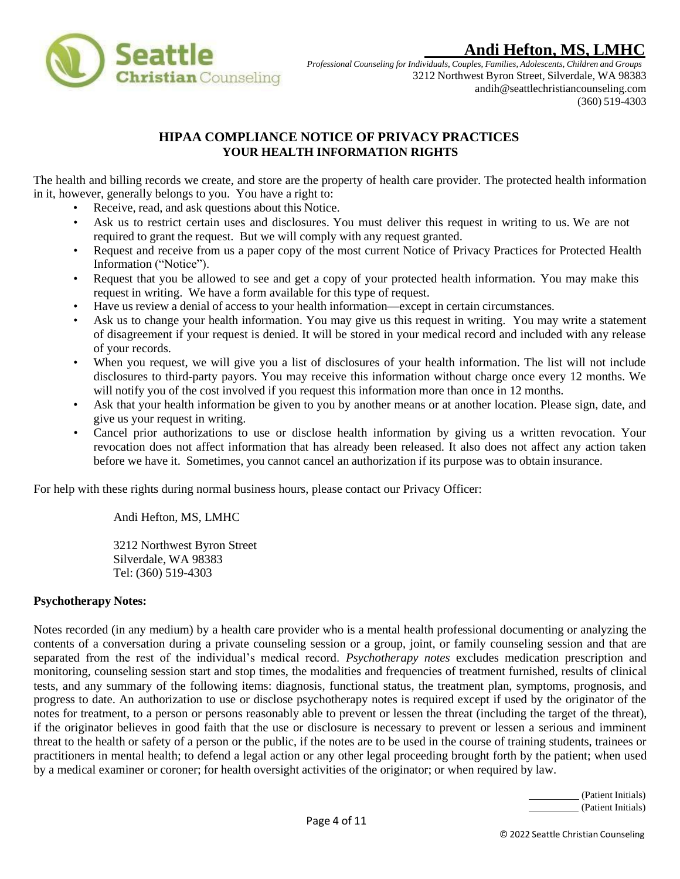

*Professional Counseling forIndividuals, Couples, Families, Adolescents, Children and Groups* 3212 Northwest Byron Street, Silverdale, WA 98383 andih@seattlechristiancounseling.com (360) 519-4303

## **HIPAA COMPLIANCE NOTICE OF PRIVACY PRACTICES YOUR HEALTH INFORMATION RIGHTS**

<span id="page-3-0"></span>The health and billing records we create, and store are the property of health care provider. The protected health information in it, however, generally belongs to you. You have a right to:

- Receive, read, and ask questions about this Notice.
- Ask us to restrict certain uses and disclosures. You must deliver this request in writing to us. We are not required to grant the request. But we will comply with any request granted.
- Request and receive from us a paper copy of the most current Notice of Privacy Practices for Protected Health Information ("Notice").
- Request that you be allowed to see and get a copy of your protected health information. You may make this request in writing. We have a form available for this type of request.
- Have us review a denial of access to your health information—except in certain circumstances.
- Ask us to change your health information. You may give us this request in writing. You may write a statement of disagreement if your request is denied. It will be stored in your medical record and included with any release of your records.
- When you request, we will give you a list of disclosures of your health information. The list will not include disclosures to third-party payors. You may receive this information without charge once every 12 months. We will notify you of the cost involved if you request this information more than once in 12 months.
- Ask that your health information be given to you by another means or at another location. Please sign, date, and give us your request in writing.
- Cancel prior authorizations to use or disclose health information by giving us a written revocation. Your revocation does not affect information that has already been released. It also does not affect any action taken before we have it. Sometimes, you cannot cancel an authorization if its purpose was to obtain insurance.

For help with these rights during normal business hours, please contact our Privacy Officer:

Andi Hefton, MS, LMHC

3212 Northwest Byron Street Silverdale, WA 98383 Tel: (360) 519-4303

### **Psychotherapy Notes:**

Notes recorded (in any medium) by a health care provider who is a mental health professional documenting or analyzing the contents of a conversation during a private counseling session or a group, joint, or family counseling session and that are separated from the rest of the individual's medical record. *Psychotherapy notes* excludes medication prescription and monitoring, counseling session start and stop times, the modalities and frequencies of treatment furnished, results of clinical tests, and any summary of the following items: diagnosis, functional status, the treatment plan, symptoms, prognosis, and progress to date. An authorization to use or disclose psychotherapy notes is required except if used by the originator of the notes for treatment, to a person or persons reasonably able to prevent or lessen the threat (including the target of the threat), if the originator believes in good faith that the use or disclosure is necessary to prevent or lessen a serious and imminent threat to the health or safety of a person or the public, if the notes are to be used in the course of training students, trainees or practitioners in mental health; to defend a legal action or any other legal proceeding brought forth by the patient; when used by a medical examiner or coroner; for health oversight activities of the originator; or when required by law.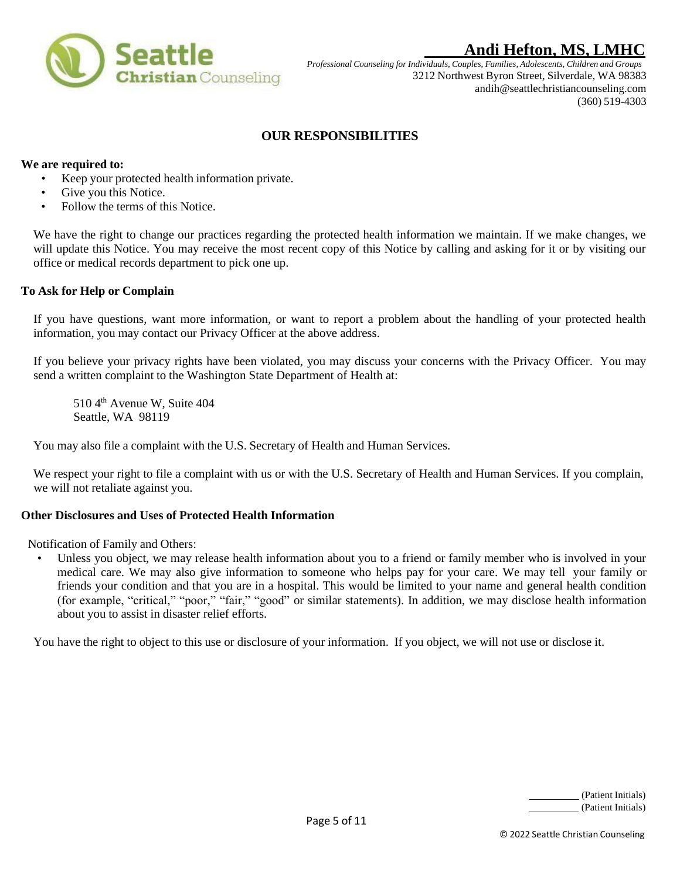

*Professional Counseling forIndividuals, Couples, Families, Adolescents, Children and Groups* 3212 Northwest Byron Street, Silverdale, WA 98383 andih@seattlechristiancounseling.com (360) 519-4303

### **OUR RESPONSIBILITIES**

#### <span id="page-4-0"></span>**We are required to:**

- Keep your protected health information private.
- Give you this Notice.
- Follow the terms of this Notice.

We have the right to change our practices regarding the protected health information we maintain. If we make changes, we will update this Notice. You may receive the most recent copy of this Notice by calling and asking for it or by visiting our office or medical records department to pick one up.

#### **To Ask for Help or Complain**

If you have questions, want more information, or want to report a problem about the handling of your protected health information, you may contact our Privacy Officer at the above address.

If you believe your privacy rights have been violated, you may discuss your concerns with the Privacy Officer. You may send a written complaint to the Washington State Department of Health at:

510 4<sup>th</sup> Avenue W, Suite 404 Seattle, WA 98119

You may also file a complaint with the U.S. Secretary of Health and Human Services.

We respect your right to file a complaint with us or with the U.S. Secretary of Health and Human Services. If you complain, we will not retaliate against you.

#### **Other Disclosures and Uses of Protected Health Information**

Notification of Family and Others:

• Unless you object, we may release health information about you to a friend or family member who is involved in your medical care. We may also give information to someone who helps pay for your care. We may tell your family or friends your condition and that you are in a hospital. This would be limited to your name and general health condition (for example, "critical," "poor," "fair," "good" or similar statements). In addition, we may disclose health information about you to assist in disaster relief efforts.

You have the right to object to this use or disclosure of your information. If you object, we will not use or disclose it.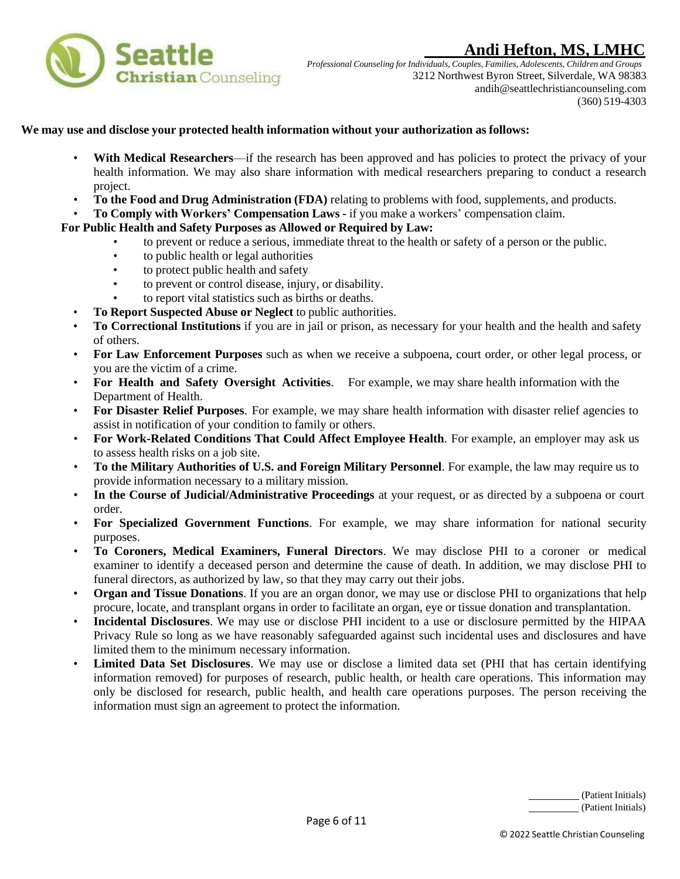

*Professional Counseling forIndividuals, Couples, Families, Adolescents, Children and Groups* 3212 Northwest Byron Street, Silverdale, WA 98383 andih@seattlechristiancounseling.com (360) 519-4303

#### **We may use and disclose your protected health information without your authorization as follows:**

- **With Medical Researchers—if the research has been approved and has policies to protect the privacy of your** health information. We may also share information with medical researchers preparing to conduct a research project.
- **To the Food and Drug Administration (FDA)** relating to problems with food, supplements, and products.
- **To Comply with Workers' Compensation Laws -** if you make a workers' compensation claim.

#### **For Public Health and Safety Purposes as Allowed or Required by Law:**

- to prevent or reduce a serious, immediate threat to the health or safety of a person or the public.
- to public health or legal authorities
- to protect public health and safety
- to prevent or control disease, injury, or disability.
- to report vital statistics such as births or deaths.
- **To Report Suspected Abuse or Neglect** to public authorities.
- **To Correctional Institutions** if you are in jail or prison, as necessary for your health and the health and safety of others.
- **For Law Enforcement Purposes** such as when we receive a subpoena, court order, or other legal process, or you are the victim of a crime.
- **For Health and Safety Oversight Activities**. For example, we may share health information with the Department of Health.
- **For Disaster Relief Purposes**. For example, we may share health information with disaster relief agencies to assist in notification of your condition to family or others.
- **For Work-Related Conditions That Could Affect Employee Health**. For example, an employer may ask us to assess health risks on a job site.
- **To the Military Authorities of U.S. and Foreign Military Personnel**. For example, the law may require us to provide information necessary to a military mission.
- **In the Course of Judicial/Administrative Proceedings** at your request, or as directed by a subpoena or court order.
- **For Specialized Government Functions**. For example, we may share information for national security purposes.
- **To Coroners, Medical Examiners, Funeral Directors**. We may disclose PHI to a coroner or medical examiner to identify a deceased person and determine the cause of death. In addition, we may disclose PHI to funeral directors, as authorized by law, so that they may carry out their jobs.
- **Organ and Tissue Donations**. If you are an organ donor, we may use or disclose PHI to organizations that help procure, locate, and transplant organs in order to facilitate an organ, eye or tissue donation and transplantation.
- **Incidental Disclosures**. We may use or disclose PHI incident to a use or disclosure permitted by the HIPAA Privacy Rule so long as we have reasonably safeguarded against such incidental uses and disclosures and have limited them to the minimum necessary information.
- **Limited Data Set Disclosures**. We may use or disclose a limited data set (PHI that has certain identifying information removed) for purposes of research, public health, or health care operations. This information may only be disclosed for research, public health, and health care operations purposes. The person receiving the information must sign an agreement to protect the information.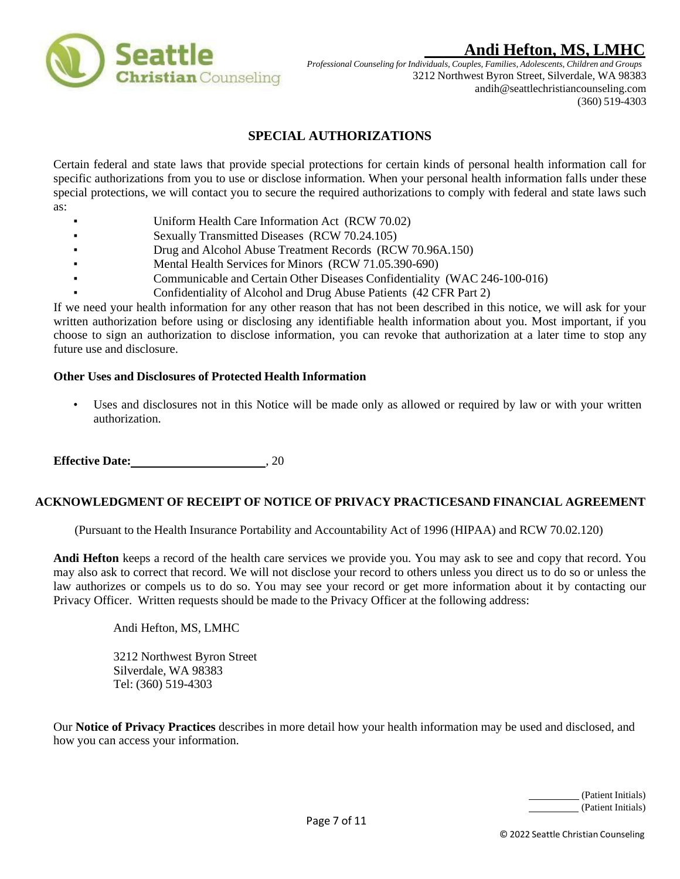

*Professional Counseling forIndividuals, Couples, Families, Adolescents, Children and Groups* 3212 Northwest Byron Street, Silverdale, WA 98383 andih@seattlechristiancounseling.com (360) 519-4303

### **SPECIAL AUTHORIZATIONS**

<span id="page-6-0"></span>Certain federal and state laws that provide special protections for certain kinds of personal health information call for specific authorizations from you to use or disclose information. When your personal health information falls under these special protections, we will contact you to secure the required authorizations to comply with federal and state laws such as:

- Uniform Health Care Information Act (RCW 70.02)
- Sexually Transmitted Diseases (RCW 70.24.105)
- Drug and Alcohol Abuse Treatment Records (RCW 70.96A.150)
- Mental Health Services for Minors (RCW 71.05.390-690)
- Communicable and Certain Other Diseases Confidentiality (WAC 246-100-016)
- Confidentiality of Alcohol and Drug Abuse Patients (42 CFR Part 2)

If we need your health information for any other reason that has not been described in this notice, we will ask for your written authorization before using or disclosing any identifiable health information about you. Most important, if you choose to sign an authorization to disclose information, you can revoke that authorization at a later time to stop any future use and disclosure.

#### **Other Uses and Disclosures of Protected Health Information**

Uses and disclosures not in this Notice will be made only as allowed or required by law or with your written authorization.

**Effective Date:** 30, 20

### **ACKNOWLEDGMENT OF RECEIPT OF NOTICE OF PRIVACY PRACTICESAND FINANCIAL AGREEMENT**

(Pursuant to the Health Insurance Portability and Accountability Act of 1996 (HIPAA) and RCW 70.02.120)

**Andi Hefton** keeps a record of the health care services we provide you. You may ask to see and copy that record. You may also ask to correct that record. We will not disclose your record to others unless you direct us to do so or unless the law authorizes or compels us to do so. You may see your record or get more information about it by contacting our Privacy Officer. Written requests should be made to the Privacy Officer at the following address:

Andi Hefton, MS, LMHC

3212 Northwest Byron Street Silverdale, WA 98383 Tel: (360) 519-4303

Our **Notice of Privacy Practices** describes in more detail how your health information may be used and disclosed, and how you can access your information.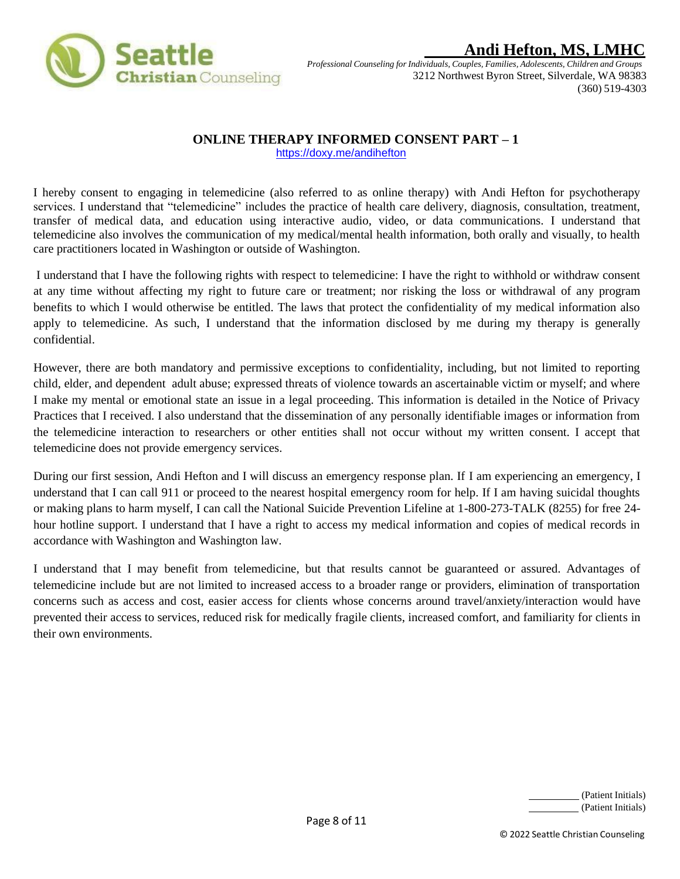

*Professional Counseling forIndividuals, Couples, Families, Adolescents, Children and Groups* 3212 Northwest Byron Street, Silverdale, WA 98383 (360) 519-4303

### <span id="page-7-0"></span> **ONLINE THERAPY INFORMED CONSENT PART – 1**

<https://doxy.me/andihefton>

I hereby consent to engaging in telemedicine (also referred to as online therapy) with Andi Hefton for psychotherapy services. I understand that "telemedicine" includes the practice of health care delivery, diagnosis, consultation, treatment, transfer of medical data, and education using interactive audio, video, or data communications. I understand that telemedicine also involves the communication of my medical/mental health information, both orally and visually, to health care practitioners located in Washington or outside of Washington.

I understand that I have the following rights with respect to telemedicine: I have the right to withhold or withdraw consent at any time without affecting my right to future care or treatment; nor risking the loss or withdrawal of any program benefits to which I would otherwise be entitled. The laws that protect the confidentiality of my medical information also apply to telemedicine. As such, I understand that the information disclosed by me during my therapy is generally confidential.

However, there are both mandatory and permissive exceptions to confidentiality, including, but not limited to reporting child, elder, and dependent adult abuse; expressed threats of violence towards an ascertainable victim or myself; and where I make my mental or emotional state an issue in a legal proceeding. This information is detailed in the Notice of Privacy Practices that I received. I also understand that the dissemination of any personally identifiable images or information from the telemedicine interaction to researchers or other entities shall not occur without my written consent. I accept that telemedicine does not provide emergency services.

During our first session, Andi Hefton and I will discuss an emergency response plan. If I am experiencing an emergency, I understand that I can call 911 or proceed to the nearest hospital emergency room for help. If I am having suicidal thoughts or making plans to harm myself, I can call the National Suicide Prevention Lifeline at 1-800-273-TALK (8255) for free 24 hour hotline support. I understand that I have a right to access my medical information and copies of medical records in accordance with Washington and Washington law.

I understand that I may benefit from telemedicine, but that results cannot be guaranteed or assured. Advantages of telemedicine include but are not limited to increased access to a broader range or providers, elimination of transportation concerns such as access and cost, easier access for clients whose concerns around travel/anxiety/interaction would have prevented their access to services, reduced risk for medically fragile clients, increased comfort, and familiarity for clients in their own environments.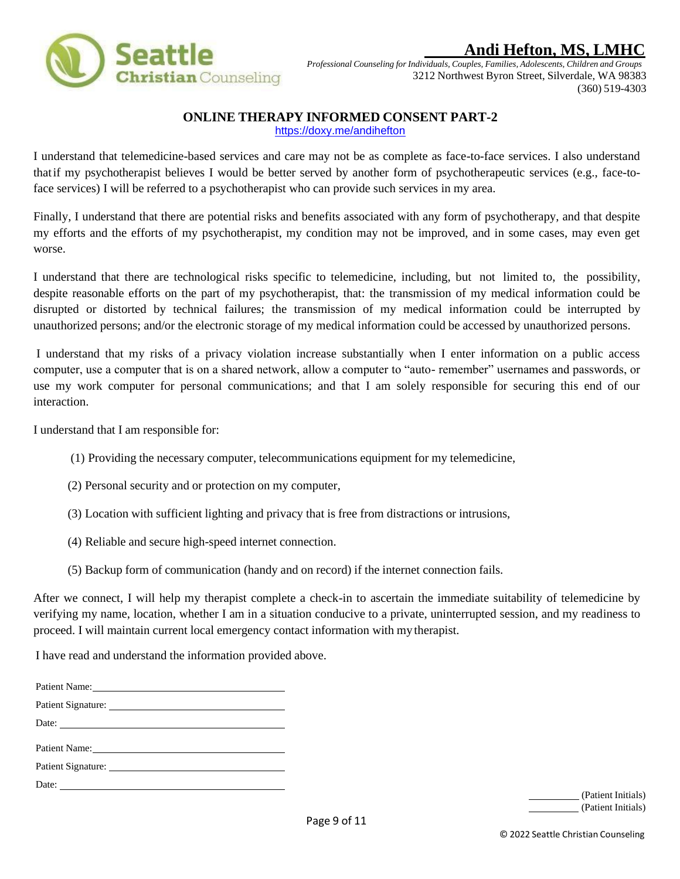

*Professional Counseling forIndividuals, Couples, Families, Adolescents, Children and Groups* 3212 Northwest Byron Street, Silverdale, WA 98383 (360) 519-4303

### **ONLINE THERAPY INFORMED CONSENT PART-2**

<https://doxy.me/andihefton>

<span id="page-8-0"></span>I understand that telemedicine-based services and care may not be as complete as face-to-face services. I also understand thatif my psychotherapist believes I would be better served by another form of psychotherapeutic services (e.g., face-toface services) I will be referred to a psychotherapist who can provide such services in my area.

Finally, I understand that there are potential risks and benefits associated with any form of psychotherapy, and that despite my efforts and the efforts of my psychotherapist, my condition may not be improved, and in some cases, may even get worse.

I understand that there are technological risks specific to telemedicine, including, but not limited to, the possibility, despite reasonable efforts on the part of my psychotherapist, that: the transmission of my medical information could be disrupted or distorted by technical failures; the transmission of my medical information could be interrupted by unauthorized persons; and/or the electronic storage of my medical information could be accessed by unauthorized persons.

I understand that my risks of a privacy violation increase substantially when I enter information on a public access computer, use a computer that is on a shared network, allow a computer to "auto- remember" usernames and passwords, or use my work computer for personal communications; and that I am solely responsible for securing this end of our interaction.

I understand that I am responsible for:

- (1) Providing the necessary computer, telecommunications equipment for my telemedicine,
- (2) Personal security and or protection on my computer,
- (3) Location with sufficient lighting and privacy that is free from distractions or intrusions,
- (4) Reliable and secure high-speed internet connection.
- (5) Backup form of communication (handy and on record) if the internet connection fails.

After we connect, I will help my therapist complete a check-in to ascertain the immediate suitability of telemedicine by verifying my name, location, whether I am in a situation conducive to a private, uninterrupted session, and my readiness to proceed. I will maintain current local emergency contact information with my therapist.

I have read and understand the information provided above.

|       | Patient Name: |
|-------|---------------|
|       |               |
|       |               |
| Date: |               |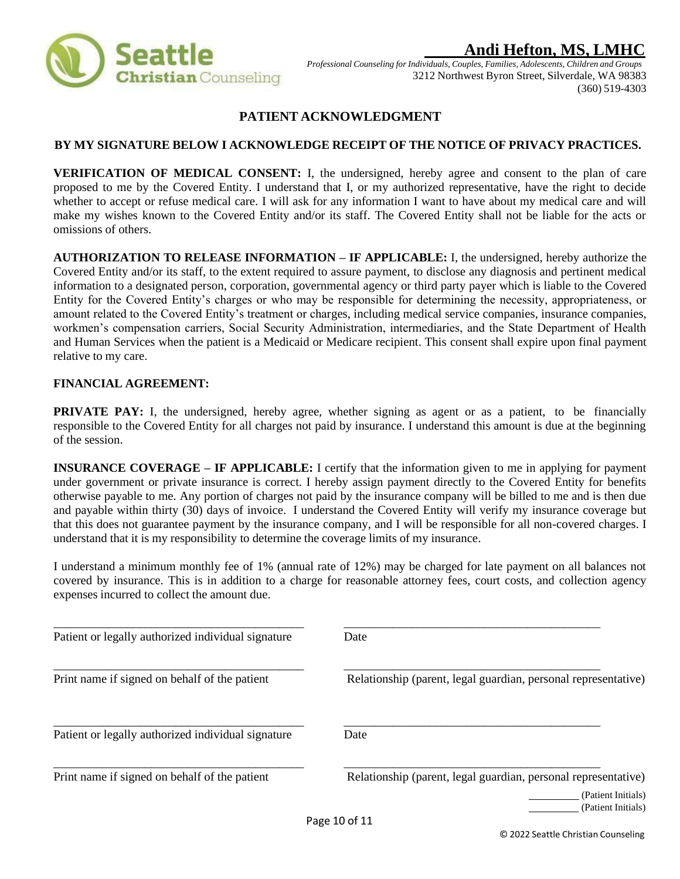

*Professional Counseling forIndividuals, Couples, Families, Adolescents, Children and Groups* 3212 Northwest Byron Street, Silverdale, WA 98383 (360) 519-4303

## **PATIENT ACKNOWLEDGMENT**

#### <span id="page-9-0"></span> **BY MY SIGNATURE BELOW I ACKNOWLEDGE RECEIPT OF THE NOTICE OF PRIVACY PRACTICES.**

**VERIFICATION OF MEDICAL CONSENT:** I, the undersigned, hereby agree and consent to the plan of care proposed to me by the Covered Entity. I understand that I, or my authorized representative, have the right to decide whether to accept or refuse medical care. I will ask for any information I want to have about my medical care and will make my wishes known to the Covered Entity and/or its staff. The Covered Entity shall not be liable for the acts or omissions of others.

**AUTHORIZATION TO RELEASE INFORMATION – IF APPLICABLE:** I, the undersigned, hereby authorize the Covered Entity and/or its staff, to the extent required to assure payment, to disclose any diagnosis and pertinent medical information to a designated person, corporation, governmental agency or third party payer which is liable to the Covered Entity for the Covered Entity's charges or who may be responsible for determining the necessity, appropriateness, or amount related to the Covered Entity's treatment or charges, including medical service companies, insurance companies, workmen's compensation carriers, Social Security Administration, intermediaries, and the State Department of Health and Human Services when the patient is a Medicaid or Medicare recipient. This consent shall expire upon final payment relative to my care.

#### **FINANCIAL AGREEMENT:**

**PRIVATE PAY:** I, the undersigned, hereby agree, whether signing as agent or as a patient, to be financially responsible to the Covered Entity for all charges not paid by insurance. I understand this amount is due at the beginning of the session.

**INSURANCE COVERAGE – IF APPLICABLE:** I certify that the information given to me in applying for payment under government or private insurance is correct. I hereby assign payment directly to the Covered Entity for benefits otherwise payable to me. Any portion of charges not paid by the insurance company will be billed to me and is then due and payable within thirty (30) days of invoice. I understand the Covered Entity will verify my insurance coverage but that this does not guarantee payment by the insurance company, and I will be responsible for all non-covered charges. I understand that it is my responsibility to determine the coverage limits of my insurance.

I understand a minimum monthly fee of 1% (annual rate of 12%) may be charged for late payment on all balances not covered by insurance. This is in addition to a charge for reasonable attorney fees, court costs, and collection agency expenses incurred to collect the amount due.

| Patient or legally authorized individual signature | Date                                                           |
|----------------------------------------------------|----------------------------------------------------------------|
| Print name if signed on behalf of the patient      | Relationship (parent, legal guardian, personal representative) |
| Patient or legally authorized individual signature | Date                                                           |
| Print name if signed on behalf of the patient      | Relationship (parent, legal guardian, personal representative) |
|                                                    | (Patient Initials)<br>(Patient Initials)                       |
|                                                    | Page 10 of 11                                                  |